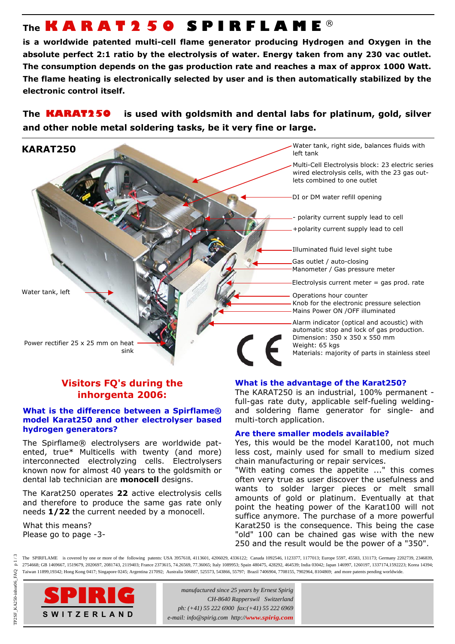# **The KARAT250 SPIRFLAME** ®

**is a worldwide patented multi-cell flame generator producing Hydrogen and Oxygen in the absolute perfect 2:1 ratio by the electrolysis of water. Energy taken from any 230 vac outlet. The consumption depends on the gas production rate and reaches a max of approx 1000 Watt. The flame heating is electronically selected by user and is then automatically stabilized by the electronic control itself.** 

**The KARAT250 is used with goldsmith and dental labs for platinum, gold, silver and other noble metal soldering tasks, be it very fine or large.**



# **Visitors FQ's during the inhorgenta 2006:**

# **What is the difference between a Spirflame® model Karat250 and other electrolyser based hydrogen generators?**

The Spirflame® electrolysers are worldwide patented, true\* Multicells with twenty (and more) interconnected electrolyzing cells. Electrolysers known now for almost 40 years to the goldsmith or dental lab technician are **monocell** designs.

The Karat250 operates **22** active electrolysis cells and therefore to produce the same gas rate only needs **1/22** the current needed by a monocell.

What this means? Please go to page -3-

# **What is the advantage of the Karat250?**

The KARAT250 is an industrial, 100% permanent full-gas rate duty, applicable self-fueling weldingand soldering flame generator for single- and multi-torch application.

# **Are there smaller models available?**

Yes, this would be the model Karat100, not much less cost, mainly used for small to medium sized chain manufacturing or repair services.

"With eating comes the appetite ..." this comes often very true as user discover the usefulness and wants to solder larger pieces or melt small amounts of gold or platinum. Eventually at that point the heating power of the Karat100 will not suffice anymore. The purchase of a more powerful Karat250 is the consequence. This being the case "old" 100 can be chained gas wise with the new 250 and the result would be the power of a "350".

The SPIRFLAME<sup>®</sup> is covered by one or more of the following patents: USA 3957618, 4113601, 4206029, 4336122; Canada 1092546, 1123377, 1177013; Europe 5597, 45583, 131173; Germany 2202739, 2346839, 2754668; GB 1469667, 1519679, 2020697, 2081743, 2119403; France 2373615, 74.26569, 77.36065; Italy 1089953; Spain 480475, 428292, 464539; India 03042; Japan 146997, 1260197, 1337174,1592223; Korea 14394; Taiwan 11899,19342; Hong Kong 0417; Singapore 0245; Argentina 217092; Australia 506887, 525573, 543866, 55797; Brazil 7406904, 7708155, 7902964, 8104869; and more patents pending worldwide.



*manufactured since 25 years by Ernest Spirig CH-8640 Rapperswil Switzerland ph: (+41) 55 222 6900 fax:(+41) 55 222 6969 e-mail: info@spirig.com http://www.spirig.com*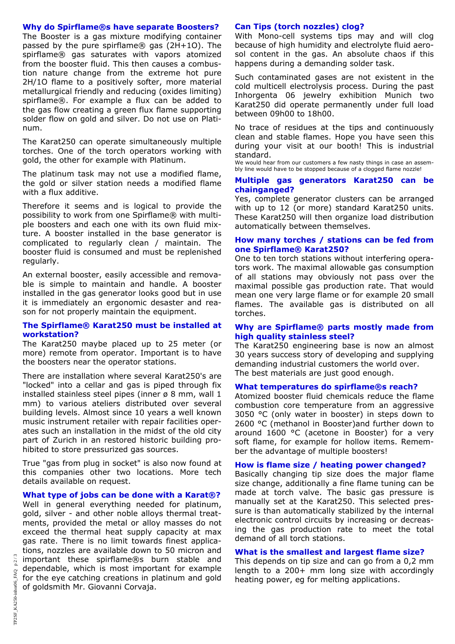### **Why do Spirflame®s have separate Boosters?**

The Booster is a gas mixture modifying container passed by the pure spirflame® gas (2H+1O). The spirflame® gas saturates with vapors atomized from the booster fluid. This then causes a combustion nature change from the extreme hot pure 2H/1O flame to a positively softer, more material metallurgical friendly and reducing (oxides limiting) spirflame®. For example a flux can be added to the gas flow creating a green flux flame supporting solder flow on gold and silver. Do not use on Platinum.

The Karat250 can operate simultaneously multiple torches. One of the torch operators working with gold, the other for example with Platinum.

The platinum task may not use a modified flame, the gold or silver station needs a modified flame with a flux additive.

Therefore it seems and is logical to provide the possibility to work from one Spirflame® with multiple boosters and each one with its own fluid mixture. A booster installed in the base generator is complicated to regularly clean / maintain. The booster fluid is consumed and must be replenished regularly.

An external booster, easily accessible and removable is simple to maintain and handle. A booster installed in the gas generator looks good but in use it is immediately an ergonomic desaster and reason for not properly maintain the equipment.

#### **The Spirflame® Karat250 must be installed at workstation?**

The Karat250 maybe placed up to 25 meter (or more) remote from operator. Important is to have the boosters near the operator stations.

There are installation where several Karat250's are "locked" into a cellar and gas is piped through fix installed stainless steel pipes (inner  $\varnothing$  8 mm, wall 1 mm) to various ateliers distributed over several building levels. Almost since 10 years a well known music instrument retailer with repair facilities operates such an installation in the midst of the old city part of Zurich in an restored historic building prohibited to store pressurized gas sources.

True "gas from plug in socket" is also now found at this companies other two locations. More tech details available on request.

#### **What type of jobs can be done with a Karat®?**

Well in general everything needed for platinum, gold, silver - and other noble alloys thermal treatments, provided the metal or alloy masses do not exceed the thermal heat supply capacity at max gas rate. There is no limit towards finest applications, nozzles are available down to 50 micron and important these spirflame®s burn stable and dependable, which is most important for example for the eye catching creations in platinum and gold of goldsmith Mr. Giovanni Corvaja.

#### **Can Tips (torch nozzles) clog?**

With Mono-cell systems tips may and will clog because of high humidity and electrolyte fluid aerosol content in the gas. An absolute chaos if this happens during a demanding solder task.

Such contaminated gases are not existent in the cold multicell electrolysis process. During the past Inhorgenta 06 jewelry exhibition Munich two Karat250 did operate permanently under full load between 09h00 to 18h00.

No trace of residues at the tips and continuously clean and stable flames. Hope you have seen this during your visit at our booth! This is industrial standard.

We would hear from our customers a few nasty things in case an assembly line would have to be stopped because of a clogged flame nozzle!

#### **Multiple gas generators Karat250 can be chainganged?**

Yes, complete generator clusters can be arranged with up to 12 (or more) standard Karat250 units. These Karat250 will then organize load distribution automatically between themselves.

#### **How many torches / stations can be fed from one Spirflame® Karat250?**

One to ten torch stations without interfering operators work. The maximal allowable gas consumption of all stations may obviously not pass over the maximal possible gas production rate. That would mean one very large flame or for example 20 small flames. The available gas is distributed on all torches.

#### **Why are Spirflame® parts mostly made from high quality stainless steel?**

The Karat250 engineering base is now an almost 30 years success story of developing and supplying demanding industrial customers the world over. The best materials are just good enough.

#### **What temperatures do spirflame®s reach?**

Atomized booster fluid chemicals reduce the flame combustion core temperature from an aggressive 3050 °C (only water in booster) in steps down to 2600 °C (methanol in Booster) and further down to around 1600 °C (acetone in Booster) for a very soft flame, for example for hollow items. Remember the advantage of multiple boosters!

#### **How is flame size / heating power changed?**

Basically changing tip size does the major flame size change, additionally a fine flame tuning can be made at torch valve. The basic gas pressure is manually set at the Karat250. This selected pressure is than automatically stabilized by the internal electronic control circuits by increasing or decreasing the gas production rate to meet the total demand of all torch stations.

#### **What is the smallest and largest flame size?**

This depends on tip size and can go from a 0,2 mm length to a 200+ mm long size with accordingly heating power, eg for melting applications.